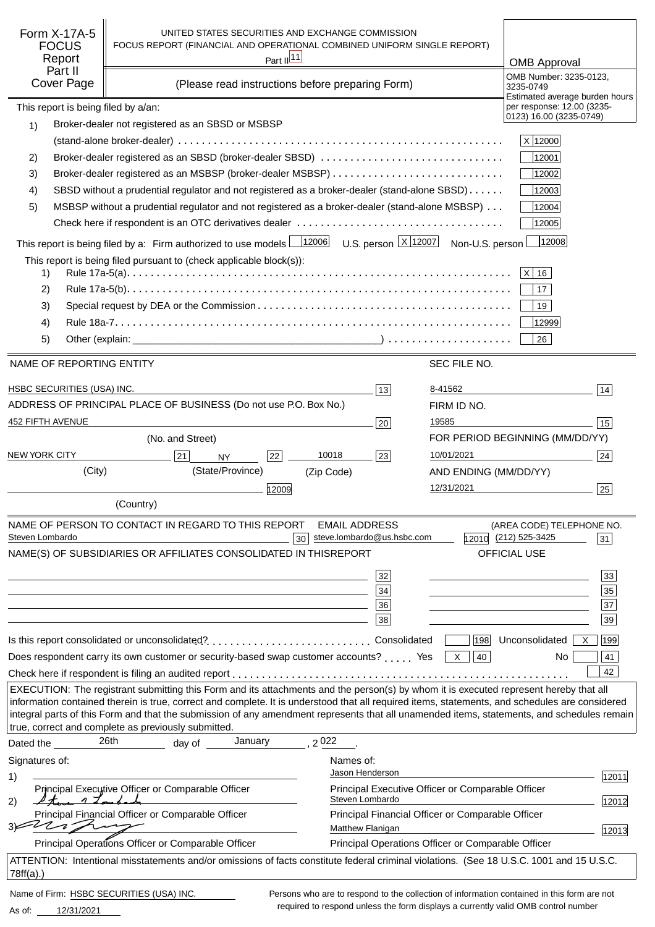| Form X-17A-5<br><b>FOCUS</b><br>Report<br>Part II<br>Cover Page                                               | UNITED STATES SECURITIES AND EXCHANGE COMMISSION<br>FOCUS REPORT (FINANCIAL AND OPERATIONAL COMBINED UNIFORM SINGLE REPORT)<br>Part II <sup>11</sup><br>(Please read instructions before preparing Form)                                                                                                                                                                                                                                                                                      |                                                                                            |                       | <b>OMB Approval</b><br>OMB Number: 3235-0123,<br>3235-0749              |  |
|---------------------------------------------------------------------------------------------------------------|-----------------------------------------------------------------------------------------------------------------------------------------------------------------------------------------------------------------------------------------------------------------------------------------------------------------------------------------------------------------------------------------------------------------------------------------------------------------------------------------------|--------------------------------------------------------------------------------------------|-----------------------|-------------------------------------------------------------------------|--|
| This report is being filed by a/an:                                                                           |                                                                                                                                                                                                                                                                                                                                                                                                                                                                                               |                                                                                            |                       | Estimated average burden hours<br>per response: 12.00 (3235-            |  |
| 1)                                                                                                            | Broker-dealer not registered as an SBSD or MSBSP                                                                                                                                                                                                                                                                                                                                                                                                                                              |                                                                                            |                       | 0123) 16.00 (3235-0749)                                                 |  |
|                                                                                                               |                                                                                                                                                                                                                                                                                                                                                                                                                                                                                               |                                                                                            |                       | X 12000                                                                 |  |
| 2)                                                                                                            | Broker-dealer registered as an SBSD (broker-dealer SBSD)                                                                                                                                                                                                                                                                                                                                                                                                                                      |                                                                                            |                       | 12001                                                                   |  |
| 3)                                                                                                            |                                                                                                                                                                                                                                                                                                                                                                                                                                                                                               |                                                                                            |                       | 12002                                                                   |  |
| 4)                                                                                                            | SBSD without a prudential regulator and not registered as a broker-dealer (stand-alone SBSD)                                                                                                                                                                                                                                                                                                                                                                                                  |                                                                                            |                       | 12003                                                                   |  |
| MSBSP without a prudential regulator and not registered as a broker-dealer (stand-alone MSBSP)<br>12004<br>5) |                                                                                                                                                                                                                                                                                                                                                                                                                                                                                               |                                                                                            |                       |                                                                         |  |
|                                                                                                               |                                                                                                                                                                                                                                                                                                                                                                                                                                                                                               |                                                                                            |                       | 12005                                                                   |  |
|                                                                                                               | This report is being filed by a: Firm authorized to use models $\frac{12006}{12006}$                                                                                                                                                                                                                                                                                                                                                                                                          | U.S. person $\lfloor x \rfloor$ 12007                                                      | Non-U.S. person       | 12008                                                                   |  |
|                                                                                                               | This report is being filed pursuant to (check applicable block(s)):                                                                                                                                                                                                                                                                                                                                                                                                                           |                                                                                            |                       |                                                                         |  |
| 1)                                                                                                            |                                                                                                                                                                                                                                                                                                                                                                                                                                                                                               |                                                                                            |                       | $ X $ 16                                                                |  |
| 2)                                                                                                            |                                                                                                                                                                                                                                                                                                                                                                                                                                                                                               |                                                                                            |                       | 17                                                                      |  |
| 3)                                                                                                            |                                                                                                                                                                                                                                                                                                                                                                                                                                                                                               |                                                                                            |                       | 19                                                                      |  |
| 4)                                                                                                            |                                                                                                                                                                                                                                                                                                                                                                                                                                                                                               |                                                                                            |                       | 12999                                                                   |  |
| 5)                                                                                                            |                                                                                                                                                                                                                                                                                                                                                                                                                                                                                               |                                                                                            |                       | 26                                                                      |  |
| NAME OF REPORTING ENTITY                                                                                      |                                                                                                                                                                                                                                                                                                                                                                                                                                                                                               |                                                                                            | SEC FILE NO.          |                                                                         |  |
| HSBC SECURITIES (USA) INC.                                                                                    |                                                                                                                                                                                                                                                                                                                                                                                                                                                                                               | 13                                                                                         | 8-41562               | 14                                                                      |  |
|                                                                                                               | ADDRESS OF PRINCIPAL PLACE OF BUSINESS (Do not use P.O. Box No.)                                                                                                                                                                                                                                                                                                                                                                                                                              |                                                                                            | FIRM ID NO.           |                                                                         |  |
| 452 FIFTH AVENUE                                                                                              |                                                                                                                                                                                                                                                                                                                                                                                                                                                                                               | 20                                                                                         | 19585                 | 15                                                                      |  |
|                                                                                                               | (No. and Street)                                                                                                                                                                                                                                                                                                                                                                                                                                                                              |                                                                                            |                       | FOR PERIOD BEGINNING (MM/DD/YY)                                         |  |
| <b>NEW YORK CITY</b>                                                                                          | 21 <br>22<br><b>NY</b>                                                                                                                                                                                                                                                                                                                                                                                                                                                                        | 10018<br> 23                                                                               | 10/01/2021            | 24                                                                      |  |
| (City)                                                                                                        | (State/Province)                                                                                                                                                                                                                                                                                                                                                                                                                                                                              | (Zip Code)                                                                                 | AND ENDING (MM/DD/YY) |                                                                         |  |
|                                                                                                               | 12009                                                                                                                                                                                                                                                                                                                                                                                                                                                                                         |                                                                                            | 12/31/2021            | 25                                                                      |  |
|                                                                                                               | (Country)                                                                                                                                                                                                                                                                                                                                                                                                                                                                                     |                                                                                            |                       |                                                                         |  |
| Steven Lombardo                                                                                               | NAME OF PERSON TO CONTACT IN REGARD TO THIS REPORT<br>30<br>NAME(S) OF SUBSIDIARIES OR AFFILIATES CONSOLIDATED IN THIS                                                                                                                                                                                                                                                                                                                                                                        | <b>EMAIL ADDRESS</b><br>steve.lombardo@us.hsbc.com<br><b>REPORT</b>                        |                       | (AREA CODE) TELEPHONE NO.<br>12010 (212) 525-3425<br>31<br>OFFICIAL USE |  |
|                                                                                                               |                                                                                                                                                                                                                                                                                                                                                                                                                                                                                               |                                                                                            |                       |                                                                         |  |
|                                                                                                               |                                                                                                                                                                                                                                                                                                                                                                                                                                                                                               | 32                                                                                         |                       | 33                                                                      |  |
|                                                                                                               |                                                                                                                                                                                                                                                                                                                                                                                                                                                                                               | 34<br>36                                                                                   |                       | 35<br>37                                                                |  |
|                                                                                                               |                                                                                                                                                                                                                                                                                                                                                                                                                                                                                               | 38                                                                                         |                       | 39                                                                      |  |
|                                                                                                               |                                                                                                                                                                                                                                                                                                                                                                                                                                                                                               |                                                                                            |                       | 199                                                                     |  |
|                                                                                                               | Is this report consolidated or unconsolidated?Consolidated<br>Does respondent carry its own customer or security-based swap customer accounts?  Yes                                                                                                                                                                                                                                                                                                                                           |                                                                                            | 198 <br>40<br>X       | Unconsolidated<br>$\times$<br>41<br>No.                                 |  |
|                                                                                                               |                                                                                                                                                                                                                                                                                                                                                                                                                                                                                               |                                                                                            |                       | 42                                                                      |  |
|                                                                                                               | EXECUTION: The registrant submitting this Form and its attachments and the person(s) by whom it is executed represent hereby that all<br>information contained therein is true, correct and complete. It is understood that all required items, statements, and schedules are considered<br>integral parts of this Form and that the submission of any amendment represents that all unamended items, statements, and schedules remain<br>true, correct and complete as previously submitted. |                                                                                            |                       |                                                                         |  |
| Dated the                                                                                                     | 26th<br>January<br>day of                                                                                                                                                                                                                                                                                                                                                                                                                                                                     | 2022                                                                                       |                       |                                                                         |  |
| Signatures of:                                                                                                |                                                                                                                                                                                                                                                                                                                                                                                                                                                                                               | Names of:                                                                                  |                       |                                                                         |  |
| 1)                                                                                                            |                                                                                                                                                                                                                                                                                                                                                                                                                                                                                               | Jason Henderson                                                                            |                       | 12011                                                                   |  |
| 17 <sub>cm</sub><br>2)                                                                                        | Principal Executive Officer or Comparable Officer                                                                                                                                                                                                                                                                                                                                                                                                                                             | Principal Executive Officer or Comparable Officer<br>Steven Lombardo                       |                       | 12012                                                                   |  |
| 3)≤<br>$7\,$                                                                                                  | Principal Financial Officer or Comparable Officer                                                                                                                                                                                                                                                                                                                                                                                                                                             | Principal Financial Officer or Comparable Officer<br>Matthew Flanigan                      |                       | 12013                                                                   |  |
|                                                                                                               | Principal Operations Officer or Comparable Officer                                                                                                                                                                                                                                                                                                                                                                                                                                            | Principal Operations Officer or Comparable Officer                                         |                       |                                                                         |  |
| 78ff(a).                                                                                                      | ATTENTION: Intentional misstatements and/or omissions of facts constitute federal criminal violations. (See 18 U.S.C. 1001 and 15 U.S.C.                                                                                                                                                                                                                                                                                                                                                      |                                                                                            |                       |                                                                         |  |
| Name of Firm: HSBC SECURITIES (USA) INC.                                                                      |                                                                                                                                                                                                                                                                                                                                                                                                                                                                                               | Persons who are to respond to the collection of information contained in this form are not |                       |                                                                         |  |

12/31/2021 As of:

Persons who are to respond to the collection of information contained in this form are not required to respond unless the form displays a currently valid OMB control number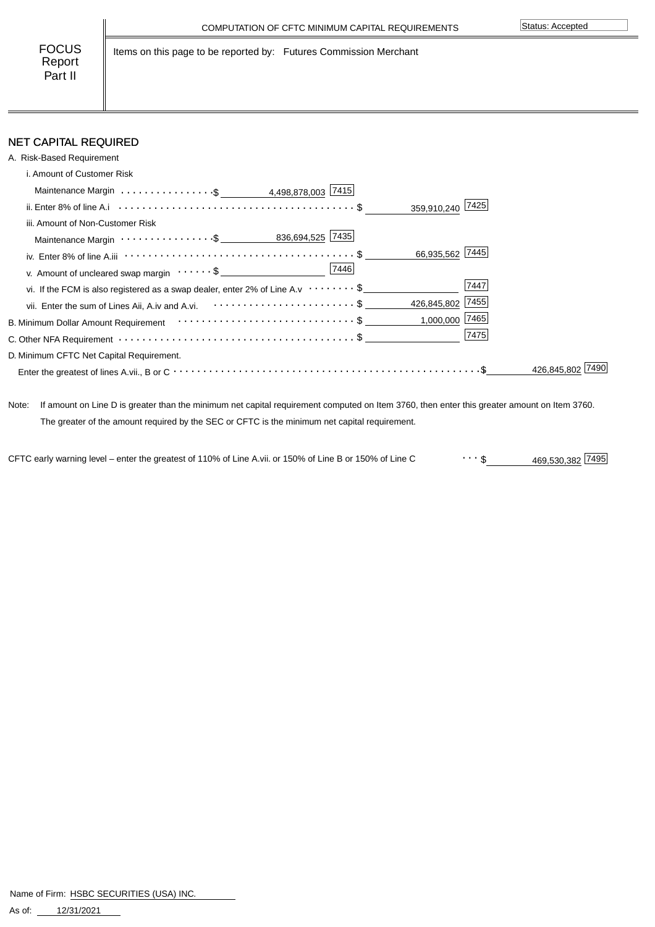Items on this page to be reported by: Futures Commission Merchant

### NET CAPITAL REQUIRED

| A. Risk-Based Requirement                                                                                                            |                  |            |
|--------------------------------------------------------------------------------------------------------------------------------------|------------------|------------|
| i. Amount of Customer Risk                                                                                                           |                  |            |
|                                                                                                                                      |                  |            |
|                                                                                                                                      | 359,910,240 7425 |            |
| iii. Amount of Non-Customer Risk                                                                                                     |                  |            |
|                                                                                                                                      |                  |            |
| iv. Enter 8% of line A.iii $\cdots \cdots \cdots \cdots \cdots \cdots \cdots \cdots \cdots \cdots \cdots \cdots \cdots$              | 66,935,562 7445  |            |
| v. Amount of uncleared swap margin $\cdots \cdots$ \$                                                                                |                  |            |
| vi. If the FCM is also registered as a swap dealer, enter 2% of Line A.v $\cdots \cdots$ \$                                          | 7447             |            |
| vii. Enter the sum of Lines Aii, A.iv and A.vi. <b>Confirmation</b> of the sum of Lines Aii, A.iv and A.vi.                          | 426,845,802 7455 |            |
| B. Minimum Dollar Amount Requirement $\cdots\cdots\cdots\cdots\cdots\cdots\cdots\cdots\cdots\cdots\cdots$                            | $1,000,000$ 7465 |            |
| C. Other NFA Requirement $\cdots$ $\cdots$ $\cdots$ $\cdots$ $\cdots$ $\cdots$ $\cdots$ $\cdots$ $\cdots$ $\cdots$ $\cdots$ $\cdots$ | 7475             |            |
| D. Minimum CFTC Net Capital Requirement.                                                                                             |                  |            |
|                                                                                                                                      |                  | 426.845.80 |

Note: If amount on Line D is greater than the minimum net capital requirement computed on Item 3760, then enter this greater amount on Item 3760. The greater of the amount required by the SEC or CFTC is the minimum net capital requirement.

469,530,382 \$ CFTC early warning level – enter the greatest of 110% of Line A.vii. or 150% of Line B or 150% of Line C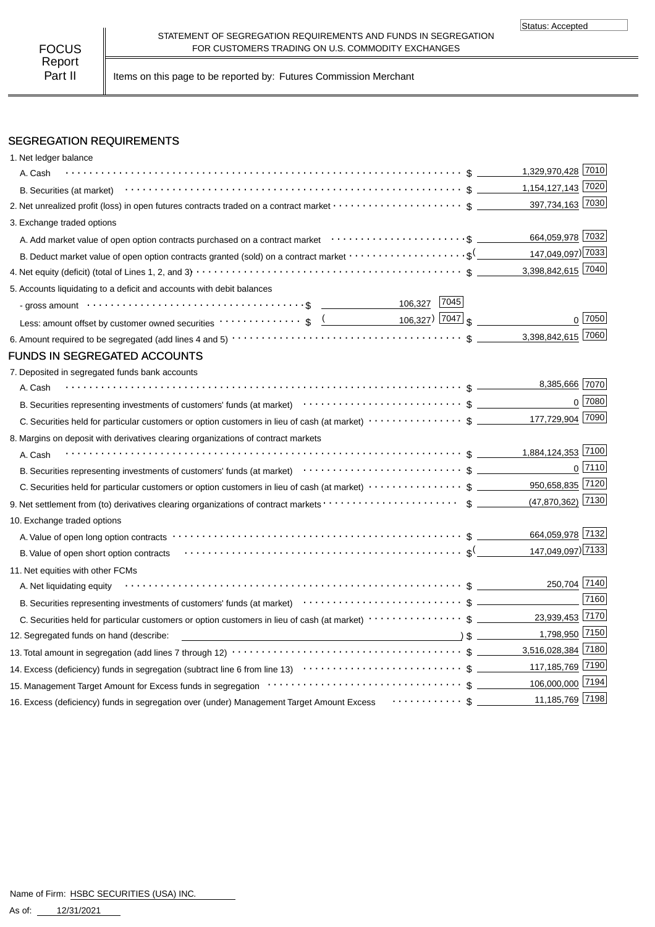Part II | Items on this page to be reported by: Futures Commission Merchant

# SEGREGATION REQUIREMENTS

| 1. Net ledger balance                                                                                                                                                                                                          |                     |                |
|--------------------------------------------------------------------------------------------------------------------------------------------------------------------------------------------------------------------------------|---------------------|----------------|
| A. Cash                                                                                                                                                                                                                        | 1,329,970,428 7010  |                |
|                                                                                                                                                                                                                                | 1,154,127,143 7020  |                |
|                                                                                                                                                                                                                                | 397,734,163 7030    |                |
| 3. Exchange traded options                                                                                                                                                                                                     |                     |                |
|                                                                                                                                                                                                                                | 664,059,978 7032    |                |
| B. Deduct market value of open option contracts granted (sold) on a contract market $\cdots\cdots\cdots\cdots\cdots\cdots$                                                                                                     | 147,049,097) 7033   |                |
|                                                                                                                                                                                                                                | 3,398,842,615 7040  |                |
| 5. Accounts liquidating to a deficit and accounts with debit balances                                                                                                                                                          |                     |                |
| 106,327 7045                                                                                                                                                                                                                   |                     |                |
| Less: amount offset by customer owned securities $\cdots \cdots \cdots$ ; \$ $\underbrace{($ 106,327) 7047 \$                                                                                                                  |                     | 0 7050         |
|                                                                                                                                                                                                                                | 3,398,842,615 7060  |                |
| <b>FUNDS IN SEGREGATED ACCOUNTS</b>                                                                                                                                                                                            |                     |                |
| 7. Deposited in segregated funds bank accounts                                                                                                                                                                                 |                     |                |
| A. Cash                                                                                                                                                                                                                        | 8,385,666 7070      |                |
| B. Securities representing investments of customers' funds (at market) (at market) (b) content to content of the content of the content of the content of the content of the content of the content of the content of the cont |                     | $0$ 7080       |
|                                                                                                                                                                                                                                | 177,729,904 7090    |                |
| 8. Margins on deposit with derivatives clearing organizations of contract markets                                                                                                                                              |                     |                |
| A. Cash                                                                                                                                                                                                                        | 1,884,124,353 7100  |                |
|                                                                                                                                                                                                                                |                     | $0\sqrt{7110}$ |
|                                                                                                                                                                                                                                | 950,658,835 7120    |                |
|                                                                                                                                                                                                                                | $(47,870,362)$ 7130 |                |
| 10. Exchange traded options                                                                                                                                                                                                    |                     |                |
| A. Value of open long option contracts vertex vertex vertex contracts and a set of the contracts of the contracts of the contracts of the contract of the contracts of the contracts of the contract of the contract of the co | 664,059,978 7132    |                |
|                                                                                                                                                                                                                                | 147,049,097) 7133   |                |
| 11. Net equities with other FCMs                                                                                                                                                                                               |                     |                |
| A. Net liquidating equity                                                                                                                                                                                                      | 250,704 7140        |                |
|                                                                                                                                                                                                                                |                     | 7160           |
|                                                                                                                                                                                                                                | 23,939,453 7170     |                |
| $\longrightarrow$ \$<br>12. Segregated funds on hand (describe:                                                                                                                                                                | 1,798,950 7150      |                |
|                                                                                                                                                                                                                                | 3,516,028,384 7180  |                |
|                                                                                                                                                                                                                                | 117,185,769 7190    |                |
|                                                                                                                                                                                                                                | 106,000,000 7194    |                |
| 16. Excess (deficiency) funds in segregation over (under) Management Target Amount Excess $\cdots\cdots\cdots\$ _                                                                                                              | 11,185,769 7198     |                |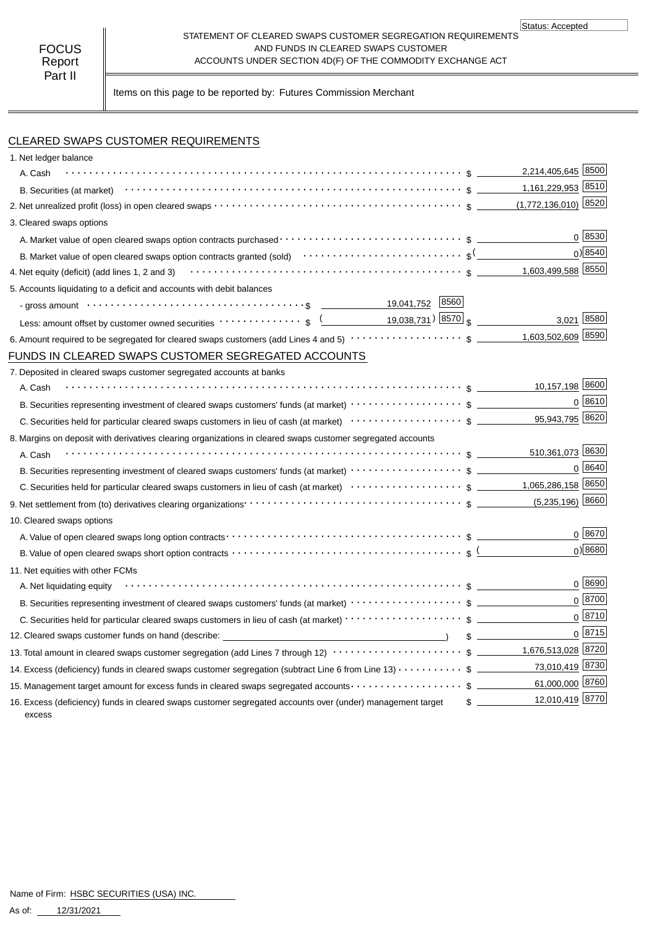#### STATEMENT OF CLEARED SWAPS CUSTOMER SEGREGATION REQUIREMENTS AND FUNDS IN CLEARED SWAPS CUSTOMER ACCOUNTS UNDER SECTION 4D(F) OF THE COMMODITY EXCHANGE ACT

Status: Accepted

Items on this page to be reported by: Futures Commission Merchant

# CLEARED SWAPS CUSTOMER REQUIREMENTS

| 1. Net ledger balance                                                                                                                                                                                                          |                                  |
|--------------------------------------------------------------------------------------------------------------------------------------------------------------------------------------------------------------------------------|----------------------------------|
| A. Cash                                                                                                                                                                                                                        | 2,214,405,645 8500               |
|                                                                                                                                                                                                                                | 1,161,229,953 8510               |
|                                                                                                                                                                                                                                | $(1,772,136,010)$ 8520           |
| 3. Cleared swaps options                                                                                                                                                                                                       |                                  |
|                                                                                                                                                                                                                                | 0 8530                           |
| B. Market value of open cleared swaps option contracts granted (sold) $\cdots\cdots\cdots\cdots\cdots\cdots\cdots\cdots\cdots$ \$ <sup>(</sup> _                                                                               | 0) 8540                          |
|                                                                                                                                                                                                                                |                                  |
| 5. Accounts liquidating to a deficit and accounts with debit balances                                                                                                                                                          |                                  |
| - gross amount \dots \contract \contract \contract \contract \contract \contract \contract \contract \contract \contract \contract \contract \contract \contract \contract \contract \contract \contract \contract \contract \ |                                  |
| Less: amount offset by customer owned securities $\cdots \cdots \cdots \cdots$ \$ $($ 19,038,731) [8570] $\frac{1}{3}$                                                                                                         | 3,021 8580                       |
|                                                                                                                                                                                                                                | 1,603,502,609 8590               |
| FUNDS IN CLEARED SWAPS CUSTOMER SEGREGATED ACCOUNTS                                                                                                                                                                            |                                  |
| 7. Deposited in cleared swaps customer segregated accounts at banks                                                                                                                                                            |                                  |
| A. Cash                                                                                                                                                                                                                        | 10,157,198 8600                  |
| B. Securities representing investment of cleared swaps customers' funds (at market) $\cdots\cdots\cdots\cdots\cdots$ \$                                                                                                        | 0 8610                           |
|                                                                                                                                                                                                                                | 95,943,795 8620                  |
| 8. Margins on deposit with derivatives clearing organizations in cleared swaps customer segregated accounts                                                                                                                    |                                  |
| A. Cash                                                                                                                                                                                                                        |                                  |
| B. Securities representing investment of cleared swaps customers' funds (at market) $\cdots \cdots \cdots \cdots \cdots$ \$                                                                                                    | 0   8640                         |
|                                                                                                                                                                                                                                |                                  |
| 9. Net settlement from (to) derivatives clearing organizations <b>constrained and constrained and constrained</b> 5 constrained 1.                                                                                             | $(5,235,196)$ 8660               |
| 10. Cleared swaps options                                                                                                                                                                                                      |                                  |
|                                                                                                                                                                                                                                | $0^{8670}$                       |
| B. Value of open cleared swaps short option contracts $\cdots\cdots\cdots\cdots\cdots\cdots\cdots\cdots\cdots\cdots\cdots\cdots$ \$                                                                                            | $0$ <sup>8680</sup>              |
| 11. Net equities with other FCMs                                                                                                                                                                                               |                                  |
| A. Net liquidating equity                                                                                                                                                                                                      | 0 8690                           |
|                                                                                                                                                                                                                                | 0 8700                           |
| C. Securities held for particular cleared swaps customers in lieu of cash (at market) · · · · · · · · · · · · · · · · · · \$                                                                                                   | $0^{8710}$                       |
| 12. Cleared swaps customer funds on hand (describe: _____________________________                                                                                                                                              | 0  8715                          |
| 13. Total amount in cleared swaps customer segregation (add Lines 7 through 12) $\cdots\cdots\cdots\cdots\cdots\cdots\cdots$ \$ ________1,676,513,028 8720                                                                     |                                  |
| 14. Excess (deficiency) funds in cleared swaps customer segregation (subtract Line 6 from Line 13) $\cdots\cdots\cdots$ \$                                                                                                     | 73,010,419 8730                  |
| 15. Management target amount for excess funds in cleared swaps segregated accounts $\cdots\cdots\cdots\cdots\cdots\quad$ \$                                                                                                    | 61,000,000 8760                  |
| 16. Excess (deficiency) funds in cleared swaps customer segregated accounts over (under) management target<br>excess                                                                                                           | 12,010,419 8770<br>$\frac{1}{2}$ |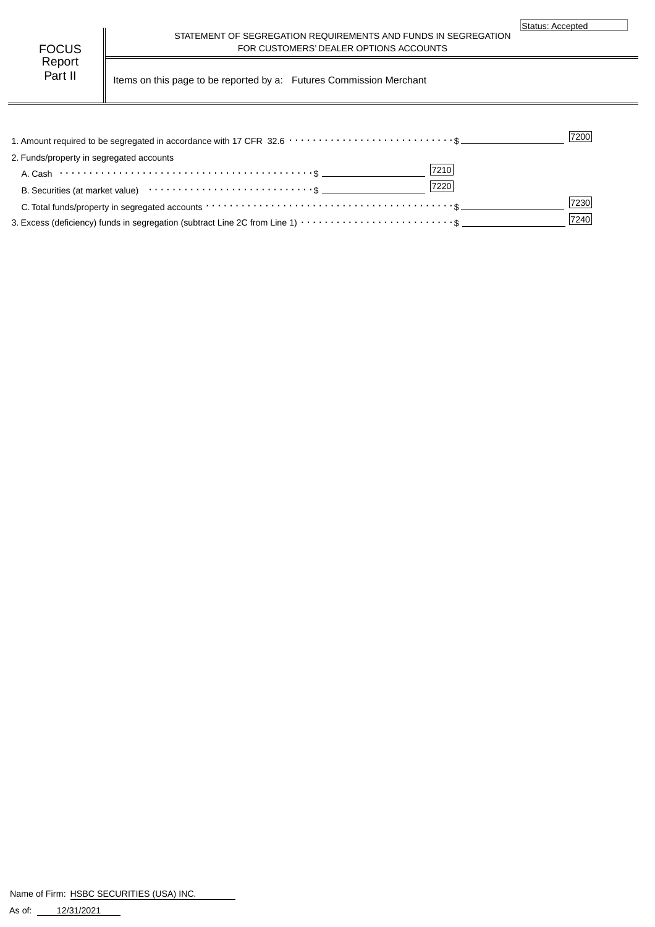| FOCUS   |  |
|---------|--|
| Report  |  |
| Part II |  |

STATEMENT OF SEGREGATION REQUIREMENTS AND FUNDS IN SEGREGATION FOR CUSTOMERS' DEALER OPTIONS ACCOUNTS

Items on this page to be reported by a: Futures Commission Merchant

|                                                                                                                                               | 7200 |
|-----------------------------------------------------------------------------------------------------------------------------------------------|------|
| 2. Funds/property in segregated accounts                                                                                                      |      |
| 7210<br>A. Cash $\cdots$ $\cdots$ $\cdots$ $\cdots$ $\cdots$ $\cdots$ $\cdots$ $\cdots$ $\cdots$ $\cdots$ $\cdots$ $\cdots$ $\cdots$ $\cdots$ |      |
| 7220                                                                                                                                          |      |
| C. Total funds/property in segregated accounts $\cdots\cdots\cdots\cdots\cdots\cdots\cdots\cdots\cdots\cdots\cdots\cdots\cdots$               | 7230 |
|                                                                                                                                               | 7240 |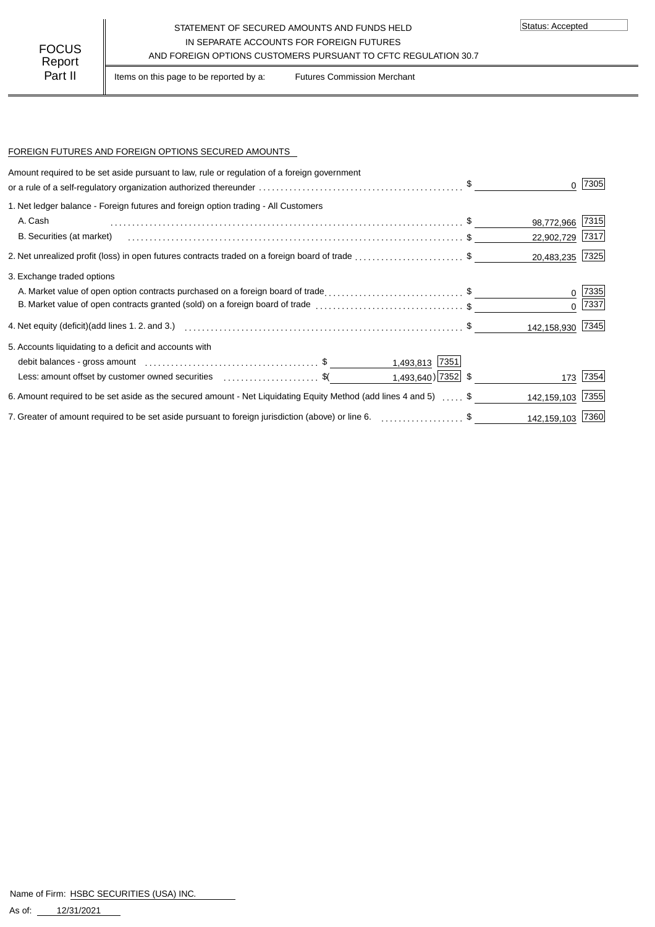#### STATEMENT OF SECURED AMOUNTS AND FUNDS HELD IN SEPARATE ACCOUNTS FOR FOREIGN FUTURES FOCUS IN SEPARALE ACCOUNTS FOR FOREIGN FUTURES<br>AND FOREIGN OPTIONS CUSTOMERS PURSUANT TO CFTC REGULATION 30.7

Status: Accepted

Part II | Items on this page to be reported by a: Futures Commission Merchant

### FOREIGN FUTURES AND FOREIGN OPTIONS SECURED AMOUNTS

| Amount required to be set aside pursuant to law, rule or regulation of a foreign government                                |                  | 7305     |
|----------------------------------------------------------------------------------------------------------------------------|------------------|----------|
| 1. Net ledger balance - Foreign futures and foreign option trading - All Customers                                         |                  |          |
| A. Cash                                                                                                                    | 98,772,966       | $ 7315 $ |
| B. Securities (at market)                                                                                                  | 22,902,729       | 7317     |
|                                                                                                                            | 20,483,235 7325  |          |
| 3. Exchange traded options                                                                                                 |                  |          |
| A. Market value of open option contracts purchased on a foreign board of trade\$                                           |                  | 7335     |
| B. Market value of open contracts granted (sold) on a foreign board of trade \$                                            | $\Omega$         | 7337     |
|                                                                                                                            | 142,158,930 7345 |          |
| 5. Accounts liquidating to a deficit and accounts with                                                                     |                  |          |
| 1,493,813 7351                                                                                                             |                  |          |
| 1,493,640) $\boxed{7352}$ \$<br>Less: amount offset by customer owned securities expressed and securities of $\frac{1}{2}$ | 173              | 7354     |
| 6. Amount required to be set aside as the secured amount - Net Liquidating Equity Method (add lines 4 and 5)  \$           | 142,159,103      | 7355     |
| 7. Greater of amount required to be set aside pursuant to foreign jurisdiction (above) or line 6. \$                       | 142,159,103 7360 |          |